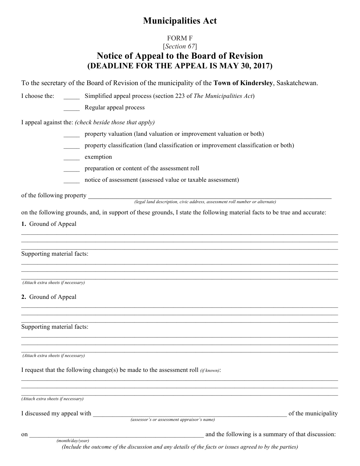# **Municipalities Act**

## FORM F

### [*Section 67*] **Notice of Appeal to the Board of Revision (DEADLINE FOR THE APPEAL IS MAY 30, 2017)**

| To the secretary of the Board of Revision of the municipality of the Town of Kindersley, Saskatchewan. |  |
|--------------------------------------------------------------------------------------------------------|--|
|--------------------------------------------------------------------------------------------------------|--|

I choose the: \_\_\_\_\_ Simplified appeal process (section 223 of *The Municipalities Act*)

\_\_\_\_\_ Regular appeal process

I appeal against the: *(check beside those that apply)*

- property valuation (land valuation or improvement valuation or both)
- \_\_\_\_\_ property classification (land classification or improvement classification or both)
- \_\_\_\_\_\_\_ exemption
- \_\_\_\_\_ preparation or content of the assessment roll
- \_\_\_\_\_ notice of assessment (assessed value or taxable assessment)

of the following property \_\_\_\_\_\_\_\_\_\_\_\_\_\_\_\_\_\_\_\_\_\_\_\_\_\_\_\_\_\_\_\_\_\_\_\_\_\_\_\_\_\_\_\_\_\_\_\_\_\_\_\_\_\_\_\_\_\_\_\_\_\_\_\_\_\_\_\_\_

 *(legal land description, civic address, assessment roll number or alternate)*

on the following grounds, and, in support of these grounds, I state the following material facts to be true and accurate:

 $\mathcal{L}_\mathcal{L} = \mathcal{L}_\mathcal{L} = \mathcal{L}_\mathcal{L} = \mathcal{L}_\mathcal{L} = \mathcal{L}_\mathcal{L} = \mathcal{L}_\mathcal{L} = \mathcal{L}_\mathcal{L} = \mathcal{L}_\mathcal{L} = \mathcal{L}_\mathcal{L} = \mathcal{L}_\mathcal{L} = \mathcal{L}_\mathcal{L} = \mathcal{L}_\mathcal{L} = \mathcal{L}_\mathcal{L} = \mathcal{L}_\mathcal{L} = \mathcal{L}_\mathcal{L} = \mathcal{L}_\mathcal{L} = \mathcal{L}_\mathcal{L}$ 

 $\mathcal{L}_\mathcal{L} = \mathcal{L}_\mathcal{L} = \mathcal{L}_\mathcal{L} = \mathcal{L}_\mathcal{L} = \mathcal{L}_\mathcal{L} = \mathcal{L}_\mathcal{L} = \mathcal{L}_\mathcal{L} = \mathcal{L}_\mathcal{L} = \mathcal{L}_\mathcal{L} = \mathcal{L}_\mathcal{L} = \mathcal{L}_\mathcal{L} = \mathcal{L}_\mathcal{L} = \mathcal{L}_\mathcal{L} = \mathcal{L}_\mathcal{L} = \mathcal{L}_\mathcal{L} = \mathcal{L}_\mathcal{L} = \mathcal{L}_\mathcal{L}$ 

 $\mathcal{L}_\mathcal{L} = \mathcal{L}_\mathcal{L} = \mathcal{L}_\mathcal{L} = \mathcal{L}_\mathcal{L} = \mathcal{L}_\mathcal{L} = \mathcal{L}_\mathcal{L} = \mathcal{L}_\mathcal{L} = \mathcal{L}_\mathcal{L} = \mathcal{L}_\mathcal{L} = \mathcal{L}_\mathcal{L} = \mathcal{L}_\mathcal{L} = \mathcal{L}_\mathcal{L} = \mathcal{L}_\mathcal{L} = \mathcal{L}_\mathcal{L} = \mathcal{L}_\mathcal{L} = \mathcal{L}_\mathcal{L} = \mathcal{L}_\mathcal{L}$  $\mathcal{L}_\mathcal{L} = \mathcal{L}_\mathcal{L} = \mathcal{L}_\mathcal{L} = \mathcal{L}_\mathcal{L} = \mathcal{L}_\mathcal{L} = \mathcal{L}_\mathcal{L} = \mathcal{L}_\mathcal{L} = \mathcal{L}_\mathcal{L} = \mathcal{L}_\mathcal{L} = \mathcal{L}_\mathcal{L} = \mathcal{L}_\mathcal{L} = \mathcal{L}_\mathcal{L} = \mathcal{L}_\mathcal{L} = \mathcal{L}_\mathcal{L} = \mathcal{L}_\mathcal{L} = \mathcal{L}_\mathcal{L} = \mathcal{L}_\mathcal{L}$ 

 $\mathcal{L}_\mathcal{L} = \mathcal{L}_\mathcal{L} = \mathcal{L}_\mathcal{L} = \mathcal{L}_\mathcal{L} = \mathcal{L}_\mathcal{L} = \mathcal{L}_\mathcal{L} = \mathcal{L}_\mathcal{L} = \mathcal{L}_\mathcal{L} = \mathcal{L}_\mathcal{L} = \mathcal{L}_\mathcal{L} = \mathcal{L}_\mathcal{L} = \mathcal{L}_\mathcal{L} = \mathcal{L}_\mathcal{L} = \mathcal{L}_\mathcal{L} = \mathcal{L}_\mathcal{L} = \mathcal{L}_\mathcal{L} = \mathcal{L}_\mathcal{L}$  $\mathcal{L}_\mathcal{L} = \mathcal{L}_\mathcal{L} = \mathcal{L}_\mathcal{L} = \mathcal{L}_\mathcal{L} = \mathcal{L}_\mathcal{L} = \mathcal{L}_\mathcal{L} = \mathcal{L}_\mathcal{L} = \mathcal{L}_\mathcal{L} = \mathcal{L}_\mathcal{L} = \mathcal{L}_\mathcal{L} = \mathcal{L}_\mathcal{L} = \mathcal{L}_\mathcal{L} = \mathcal{L}_\mathcal{L} = \mathcal{L}_\mathcal{L} = \mathcal{L}_\mathcal{L} = \mathcal{L}_\mathcal{L} = \mathcal{L}_\mathcal{L}$ 

 $\mathcal{L}_\mathcal{L} = \{ \mathcal{L}_\mathcal{L} = \{ \mathcal{L}_\mathcal{L} = \{ \mathcal{L}_\mathcal{L} = \{ \mathcal{L}_\mathcal{L} = \{ \mathcal{L}_\mathcal{L} = \{ \mathcal{L}_\mathcal{L} = \{ \mathcal{L}_\mathcal{L} = \{ \mathcal{L}_\mathcal{L} = \{ \mathcal{L}_\mathcal{L} = \{ \mathcal{L}_\mathcal{L} = \{ \mathcal{L}_\mathcal{L} = \{ \mathcal{L}_\mathcal{L} = \{ \mathcal{L}_\mathcal{L} = \{ \mathcal{L}_\mathcal{$  $\mathcal{L}_\mathcal{L} = \mathcal{L}_\mathcal{L} = \mathcal{L}_\mathcal{L} = \mathcal{L}_\mathcal{L} = \mathcal{L}_\mathcal{L} = \mathcal{L}_\mathcal{L} = \mathcal{L}_\mathcal{L} = \mathcal{L}_\mathcal{L} = \mathcal{L}_\mathcal{L} = \mathcal{L}_\mathcal{L} = \mathcal{L}_\mathcal{L} = \mathcal{L}_\mathcal{L} = \mathcal{L}_\mathcal{L} = \mathcal{L}_\mathcal{L} = \mathcal{L}_\mathcal{L} = \mathcal{L}_\mathcal{L} = \mathcal{L}_\mathcal{L}$ 

**1.** Ground of Appeal

Supporting material facts:

| (Attach extra<br>sheets t<br>necessarv |  |  |
|----------------------------------------|--|--|

### **2.** Ground of Appeal

 $\mathcal{L}_\mathcal{L} = \mathcal{L}_\mathcal{L} = \mathcal{L}_\mathcal{L} = \mathcal{L}_\mathcal{L} = \mathcal{L}_\mathcal{L} = \mathcal{L}_\mathcal{L} = \mathcal{L}_\mathcal{L} = \mathcal{L}_\mathcal{L} = \mathcal{L}_\mathcal{L} = \mathcal{L}_\mathcal{L} = \mathcal{L}_\mathcal{L} = \mathcal{L}_\mathcal{L} = \mathcal{L}_\mathcal{L} = \mathcal{L}_\mathcal{L} = \mathcal{L}_\mathcal{L} = \mathcal{L}_\mathcal{L} = \mathcal{L}_\mathcal{L}$ Supporting material facts:

*(Attach extra sheets if necessary)*

I request that the following change(s) be made to the assessment roll *(if known)*:

 $\mathcal{L}_\mathcal{L} = \mathcal{L}_\mathcal{L} = \mathcal{L}_\mathcal{L} = \mathcal{L}_\mathcal{L} = \mathcal{L}_\mathcal{L} = \mathcal{L}_\mathcal{L} = \mathcal{L}_\mathcal{L} = \mathcal{L}_\mathcal{L} = \mathcal{L}_\mathcal{L} = \mathcal{L}_\mathcal{L} = \mathcal{L}_\mathcal{L} = \mathcal{L}_\mathcal{L} = \mathcal{L}_\mathcal{L} = \mathcal{L}_\mathcal{L} = \mathcal{L}_\mathcal{L} = \mathcal{L}_\mathcal{L} = \mathcal{L}_\mathcal{L}$ *(Attach extra sheets if necessary)*

I discussed my appeal with of the municipality of the municipality

 *(month/day/year)*

 *(assessor's or assessment appraisor's name)*

on and the following is a summary of that discussion:

*(Include the outcome of the discussion and any details of the facts or issues agreed to by the parties)*